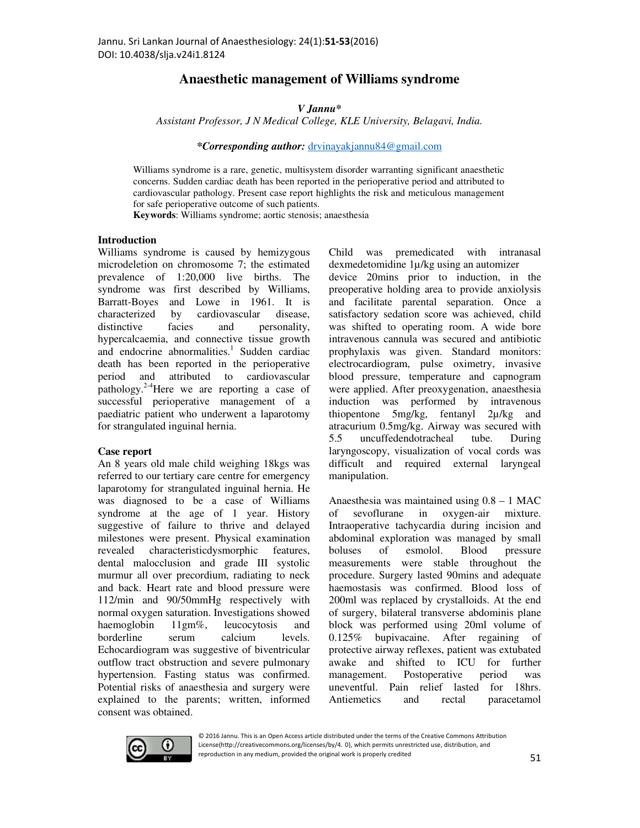# **Anaesthetic management of Williams syndrome**

## *V Jannu\**

*Assistant Professor, J N Medical College, KLE University, Belagavi, India.* 

*\*Corresponding author:* drvinayakjannu84@gmail.com

Williams syndrome is a rare, genetic, multisystem disorder warranting significant anaesthetic concerns. Sudden cardiac death has been reported in the perioperative period and attributed to cardiovascular pathology. Present case report highlights the risk and meticulous management for safe perioperative outcome of such patients.

**Keywords**: Williams syndrome; aortic stenosis; anaesthesia

#### **Introduction**

Williams syndrome is caused by hemizygous microdeletion on chromosome 7; the estimated prevalence of 1:20,000 live births. The syndrome was first described by Williams, Barratt-Boyes and Lowe in 1961. It is characterized by cardiovascular disease, distinctive facies and personality, hypercalcaemia, and connective tissue growth and endocrine abnormalities.<sup>1</sup> Sudden cardiac death has been reported in the perioperative period and attributed to cardiovascular pathology.<sup>2-4</sup>Here we are reporting a case of successful perioperative management of a paediatric patient who underwent a laparotomy for strangulated inguinal hernia.

### **Case report**

An 8 years old male child weighing 18kgs was referred to our tertiary care centre for emergency laparotomy for strangulated inguinal hernia. He was diagnosed to be a case of Williams syndrome at the age of 1 year. History suggestive of failure to thrive and delayed milestones were present. Physical examination revealed characteristicdysmorphic features, dental malocclusion and grade III systolic murmur all over precordium, radiating to neck and back. Heart rate and blood pressure were 112/min and 90/50mmHg respectively with normal oxygen saturation. Investigations showed haemoglobin 11gm%, leucocytosis and borderline serum calcium levels. Echocardiogram was suggestive of biventricular outflow tract obstruction and severe pulmonary hypertension. Fasting status was confirmed. Potential risks of anaesthesia and surgery were explained to the parents; written, informed consent was obtained.

Child was premedicated with intranasal dexmedetomidine 1µ/kg using an automizer device 20mins prior to induction, in the preoperative holding area to provide anxiolysis and facilitate parental separation. Once a satisfactory sedation score was achieved, child was shifted to operating room. A wide bore intravenous cannula was secured and antibiotic prophylaxis was given. Standard monitors: electrocardiogram, pulse oximetry, invasive blood pressure, temperature and capnogram were applied. After preoxygenation, anaesthesia induction was performed by intravenous thiopentone 5mg/kg, fentanyl 2µ/kg and atracurium 0.5mg/kg. Airway was secured with 5.5 uncuffedendotracheal tube. During laryngoscopy, visualization of vocal cords was difficult and required external laryngeal manipulation.

Anaesthesia was maintained using 0.8 – 1 MAC of sevoflurane in oxygen-air mixture. Intraoperative tachycardia during incision and abdominal exploration was managed by small boluses of esmolol. Blood pressure measurements were stable throughout the procedure. Surgery lasted 90mins and adequate haemostasis was confirmed. Blood loss of 200ml was replaced by crystalloids. At the end of surgery, bilateral transverse abdominis plane block was performed using 20ml volume of 0.125% bupivacaine. After regaining of protective airway reflexes, patient was extubated awake and shifted to ICU for further management. Postoperative period was uneventful. Pain relief lasted for 18hrs. Antiemetics and rectal paracetamol



© 2016 Jannu. This is an Open Access article distributed under the terms of the Creative Commons Attribution License(http://creativecommons.org/licenses/by/4. 0), which permits unrestricted use, distribution, and reproduction in any medium, provided the original work is properly credited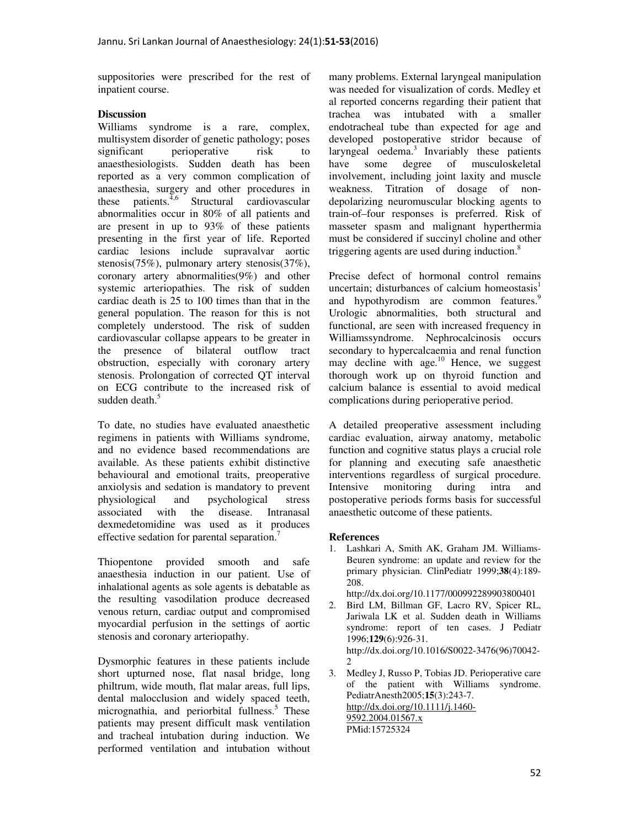suppositories were prescribed for the rest of inpatient course.

## **Discussion**

Williams syndrome is a rare, complex, multisystem disorder of genetic pathology; poses significant perioperative risk to anaesthesiologists. Sudden death has been reported as a very common complication of anaesthesia, surgery and other procedures in these patients. $4.6$  Structural cardiovascular abnormalities occur in 80% of all patients and are present in up to 93% of these patients presenting in the first year of life. Reported cardiac lesions include supravalvar aortic stenosis(75%), pulmonary artery stenosis(37%), coronary artery abnormalities(9%) and other systemic arteriopathies. The risk of sudden cardiac death is 25 to 100 times than that in the general population. The reason for this is not completely understood. The risk of sudden cardiovascular collapse appears to be greater in the presence of bilateral outflow tract obstruction, especially with coronary artery stenosis. Prolongation of corrected QT interval on ECG contribute to the increased risk of sudden death.<sup>5</sup>

To date, no studies have evaluated anaesthetic regimens in patients with Williams syndrome, and no evidence based recommendations are available. As these patients exhibit distinctive behavioural and emotional traits, preoperative anxiolysis and sedation is mandatory to prevent physiological and psychological stress<br>associated with the disease. Intranasal associated with the dexmedetomidine was used as it produces effective sedation for parental separation.<sup>7</sup>

Thiopentone provided smooth and safe anaesthesia induction in our patient. Use of inhalational agents as sole agents is debatable as the resulting vasodilation produce decreased venous return, cardiac output and compromised myocardial perfusion in the settings of aortic stenosis and coronary arteriopathy.

Dysmorphic features in these patients include short upturned nose, flat nasal bridge, long philtrum, wide mouth, flat malar areas, full lips, dental malocclusion and widely spaced teeth, micrognathia, and periorbital fullness.<sup>5</sup> These patients may present difficult mask ventilation and tracheal intubation during induction. We performed ventilation and intubation without many problems. External laryngeal manipulation was needed for visualization of cords. Medley et al reported concerns regarding their patient that trachea was intubated with a smaller endotracheal tube than expected for age and developed postoperative stridor because of laryngeal oedema. $3$  Invariably these patients have some degree of musculoskeletal involvement, including joint laxity and muscle weakness. Titration of dosage of nondepolarizing neuromuscular blocking agents to train-of–four responses is preferred. Risk of masseter spasm and malignant hyperthermia must be considered if succinyl choline and other triggering agents are used during induction.<sup>8</sup>

Precise defect of hormonal control remains uncertain; disturbances of calcium homeostasis $<sup>1</sup>$ </sup> and hypothyrodism are common features.<sup>9</sup> Urologic abnormalities, both structural and functional, are seen with increased frequency in Williamssyndrome. Nephrocalcinosis occurs secondary to hypercalcaemia and renal function may decline with age. $^{10}$  Hence, we suggest thorough work up on thyroid function and calcium balance is essential to avoid medical complications during perioperative period.

A detailed preoperative assessment including cardiac evaluation, airway anatomy, metabolic function and cognitive status plays a crucial role for planning and executing safe anaesthetic interventions regardless of surgical procedure. Intensive monitoring during intra and postoperative periods forms basis for successful anaesthetic outcome of these patients.

### **References**

1. Lashkari A, Smith AK, Graham JM. Williams-Beuren syndrome: an update and review for the primary physician. ClinPediatr 1999;**38**(4):189- 208.

http://dx.doi.org/10.1177/000992289903800401

- 2. Bird LM, Billman GF, Lacro RV, Spicer RL, Jariwala LK et al. Sudden death in Williams syndrome: report of ten cases. J Pediatr 1996;**129**(6):926-31. http://dx.doi.org/10.1016/S0022-3476(96)70042- 2
- 3. Medley J, Russo P, Tobias JD. Perioperative care of the patient with Williams syndrome. PediatrAnesth2005;**15**(3):243-7. http://dx.doi.org/10.1111/j.1460- 9592.2004.01567.x PMid:15725324